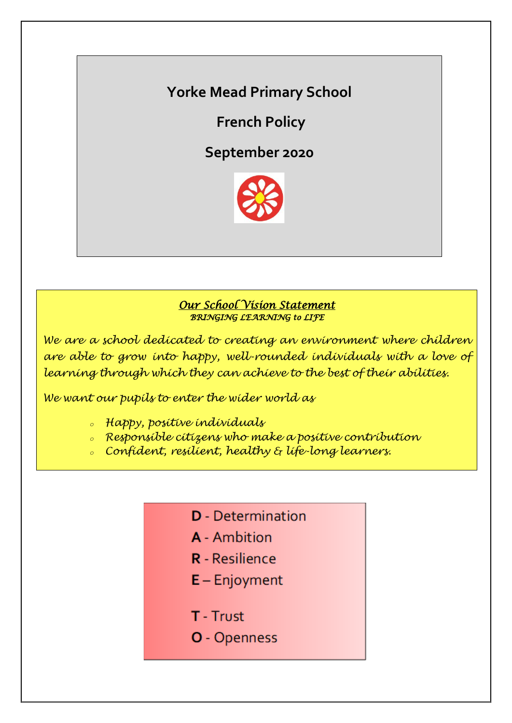# *DARE TO…* **Yorke Mead Primary School**

**French Policy**

**September 2020**



## *Our School Vision Statement BRINGING LEARNING to LIFE*

*We are a school dedicated to creating an environment where children are able to grow into happy, well-rounded individuals with a love of learning through which they can achieve to the best of their abilities.*

*We want our pupils to enter the wider world as*

- *<sup>o</sup> Happy, positive individuals*
- *<sup>o</sup> Responsible citizens who make a positive contribution*
- *<sup>o</sup> Confident, resilient, healthy & life-long learners.*
	- **D** Determination
	- **A** Ambition
	- **R** Resilience
	- $E -$  Enjoyment
	- T Trust
	- O Openness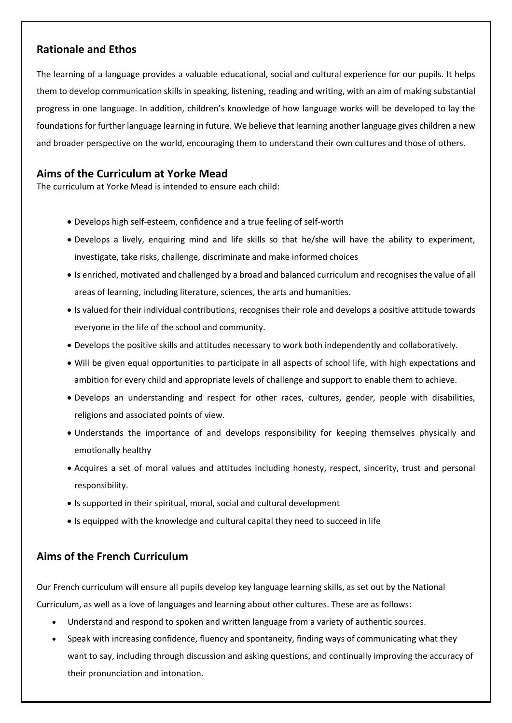## **Rationale and Ethos**

The learning of a language provides a valuable educational, social and cultural experience for our pupils. It helps them to develop communication skills in speaking, listening, reading and writing, with an aim of making substantial progress in one language. In addition, children's knowledge of how language works will be developed to lay the foundations for further language learning in future. We believe that learning another language gives children a new and broader perspective on the world, encouraging them to understand their own cultures and those of others.

## **Aims of the Curriculum at Yorke Mead**

The curriculum at Yorke Mead is intended to ensure each child:

- Develops high self-esteem, confidence and a true feeling of self-worth
- Develops a lively, enquiring mind and life skills so that he/she will have the ability to experiment, investigate, take risks, challenge, discriminate and make informed choices
- Is enriched, motivated and challenged by a broad and balanced curriculum and recognises the value of all areas of learning, including literature, sciences, the arts and humanities.
- Is valued for their individual contributions, recognises their role and develops a positive attitude towards everyone in the life of the school and community.
- Develops the positive skills and attitudes necessary to work both independently and collaboratively.
- Will be given equal opportunities to participate in all aspects of school life, with high expectations and ambition for every child and appropriate levels of challenge and support to enable them to achieve.
- Develops an understanding and respect for other races, cultures, gender, people with disabilities, religions and associated points of view.
- Understands the importance of and develops responsibility for keeping themselves physically and emotionally healthy
- Acquires a set of moral values and attitudes including honesty, respect, sincerity, trust and personal responsibility.
- Is supported in their spiritual, moral, social and cultural development
- Is equipped with the knowledge and cultural capital they need to succeed in life

## **Aims of the French Curriculum**

Our French curriculum will ensure all pupils develop key language learning skills, as set out by the National Curriculum, as well as a love of languages and learning about other cultures. These are as follows:

- Understand and respond to spoken and written language from a variety of authentic sources.
- Speak with increasing confidence, fluency and spontaneity, finding ways of communicating what they want to say, including through discussion and asking questions, and continually improving the accuracy of their pronunciation and intonation.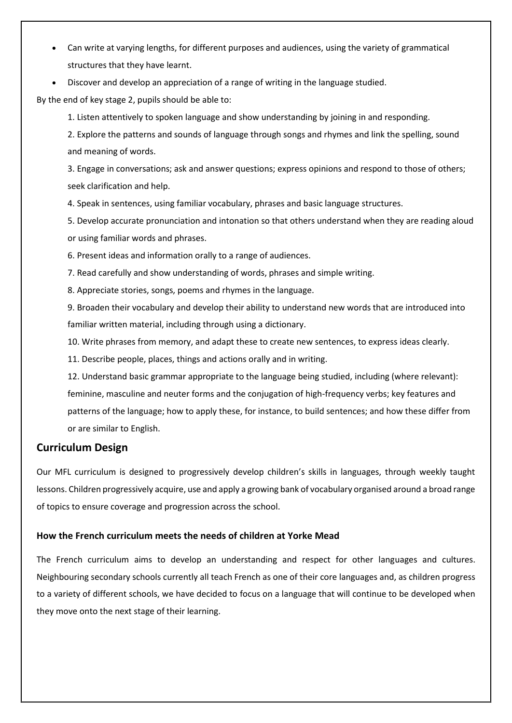- Can write at varying lengths, for different purposes and audiences, using the variety of grammatical structures that they have learnt.
- Discover and develop an appreciation of a range of writing in the language studied.

By the end of key stage 2, pupils should be able to:

1. Listen attentively to spoken language and show understanding by joining in and responding.

2. Explore the patterns and sounds of language through songs and rhymes and link the spelling, sound and meaning of words.

3. Engage in conversations; ask and answer questions; express opinions and respond to those of others; seek clarification and help.

4. Speak in sentences, using familiar vocabulary, phrases and basic language structures.

5. Develop accurate pronunciation and intonation so that others understand when they are reading aloud or using familiar words and phrases.

6. Present ideas and information orally to a range of audiences.

7. Read carefully and show understanding of words, phrases and simple writing.

8. Appreciate stories, songs, poems and rhymes in the language.

9. Broaden their vocabulary and develop their ability to understand new words that are introduced into familiar written material, including through using a dictionary.

10. Write phrases from memory, and adapt these to create new sentences, to express ideas clearly.

11. Describe people, places, things and actions orally and in writing.

12. Understand basic grammar appropriate to the language being studied, including (where relevant): feminine, masculine and neuter forms and the conjugation of high-frequency verbs; key features and patterns of the language; how to apply these, for instance, to build sentences; and how these differ from or are similar to English.

## **Curriculum Design**

Our MFL curriculum is designed to progressively develop children's skills in languages, through weekly taught lessons. Children progressively acquire, use and apply a growing bank of vocabulary organised around a broad range of topics to ensure coverage and progression across the school.

#### **How the French curriculum meets the needs of children at Yorke Mead**

The French curriculum aims to develop an understanding and respect for other languages and cultures. Neighbouring secondary schools currently all teach French as one of their core languages and, as children progress to a variety of different schools, we have decided to focus on a language that will continue to be developed when they move onto the next stage of their learning.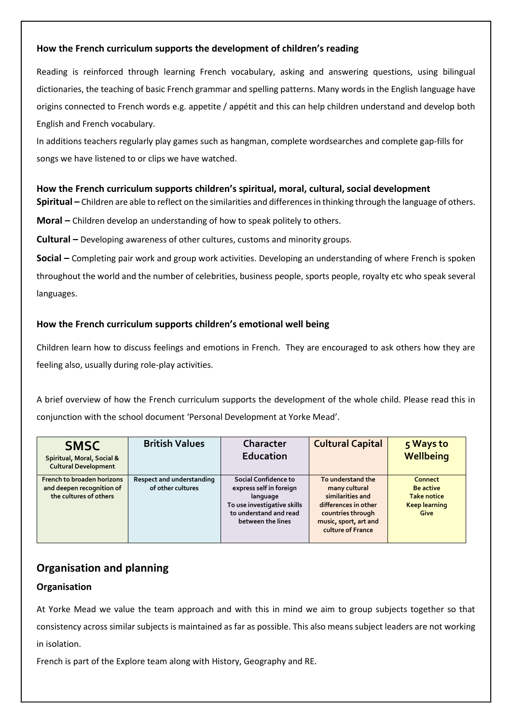## **How the French curriculum supports the development of children's reading**

Reading is reinforced through learning French vocabulary, asking and answering questions, using bilingual dictionaries, the teaching of basic French grammar and spelling patterns. Many words in the English language have origins connected to French words e.g. appetite / appétit and this can help children understand and develop both English and French vocabulary.

In additions teachers regularly play games such as hangman, complete wordsearches and complete gap-fills for songs we have listened to or clips we have watched.

## **How the French curriculum supports children's spiritual, moral, cultural, social development**

**Spiritual –** Children are able to reflect on the similarities and differences in thinking through the language of others.

**Moral –** Children develop an understanding of how to speak politely to others.

**Cultural –** Developing awareness of other cultures, customs and minority groups*.*

**Social –** Completing pair work and group work activities. Developing an understanding of where French is spoken throughout the world and the number of celebrities, business people, sports people, royalty etc who speak several languages.

## **How the French curriculum supports children's emotional well being**

Children learn how to discuss feelings and emotions in French. They are encouraged to ask others how they are feeling also, usually during role-play activities.

A brief overview of how the French curriculum supports the development of the whole child. Please read this in conjunction with the school document 'Personal Development at Yorke Mead'.

| <b>SMSC</b><br>Spiritual, Moral, Social &<br><b>Cultural Development</b>          | <b>British Values</b>                          | Character<br>Education                                                                                                                    | <b>Cultural Capital</b>                                                                                                                           | 5 Ways to<br>Wellbeing                                                            |
|-----------------------------------------------------------------------------------|------------------------------------------------|-------------------------------------------------------------------------------------------------------------------------------------------|---------------------------------------------------------------------------------------------------------------------------------------------------|-----------------------------------------------------------------------------------|
| French to broaden horizons<br>and deepen recognition of<br>the cultures of others | Respect and understanding<br>of other cultures | Social Confidence to<br>express self in foreign<br>language<br>To use investigative skills<br>to understand and read<br>between the lines | To understand the<br>many cultural<br>similarities and<br>differences in other<br>countries through<br>music, sport, art and<br>culture of France | Connect<br><b>Be active</b><br><b>Take notice</b><br><b>Keep learning</b><br>Give |

## **Organisation and planning**

## **Organisation**

At Yorke Mead we value the team approach and with this in mind we aim to group subjects together so that consistency across similar subjects is maintained as far as possible. This also means subject leaders are not working in isolation.

French is part of the Explore team along with History, Geography and RE.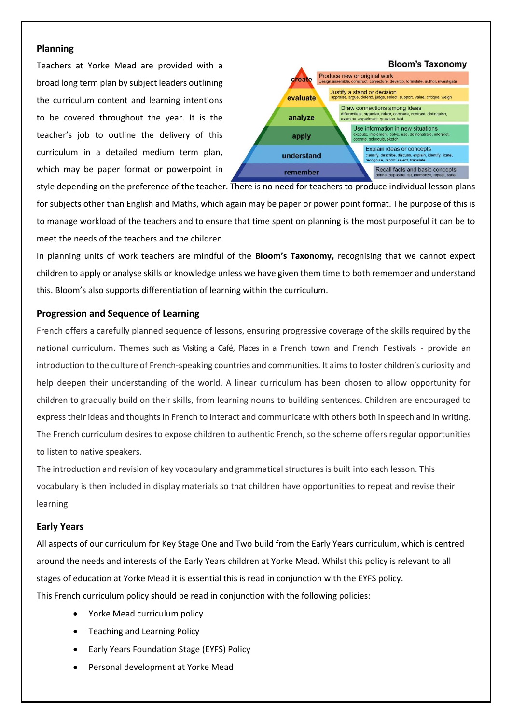#### **Planning**

Teachers at Yorke Mead are provided with a broad long term plan by subject leaders outlining the curriculum content and learning intentions to be covered throughout the year. It is the teacher's job to outline the delivery of this curriculum in a detailed medium term plan, which may be paper format or powerpoint in



style depending on the preference of the teacher. There is no need for teachers to produce individual lesson plans for subjects other than English and Maths, which again may be paper or power point format. The purpose of this is to manage workload of the teachers and to ensure that time spent on planning is the most purposeful it can be to meet the needs of the teachers and the children.

In planning units of work teachers are mindful of the **Bloom's Taxonomy,** recognising that we cannot expect children to apply or analyse skills or knowledge unless we have given them time to both remember and understand this. Bloom's also supports differentiation of learning within the curriculum.

#### **Progression and Sequence of Learning**

French offers a carefully planned sequence of lessons, ensuring progressive coverage of the skills required by the national curriculum. Themes such as Visiting a Café, Places in a French town and French Festivals - provide an introduction to the culture of French-speaking countries and communities. It aimsto foster children's curiosity and help deepen their understanding of the world. A linear curriculum has been chosen to allow opportunity for children to gradually build on their skills, from learning nouns to building sentences. Children are encouraged to express their ideas and thoughts in French to interact and communicate with others both in speech and in writing. The French curriculum desires to expose children to authentic French, so the scheme offers regular opportunities to listen to native speakers.

The introduction and revision of key vocabulary and grammatical structures is built into each lesson. This vocabulary is then included in display materials so that children have opportunities to repeat and revise their learning.

#### **Early Years**

All aspects of our curriculum for Key Stage One and Two build from the Early Years curriculum, which is centred around the needs and interests of the Early Years children at Yorke Mead. Whilst this policy is relevant to all stages of education at Yorke Mead it is essential this is read in conjunction with the EYFS policy. This French curriculum policy should be read in conjunction with the following policies:

- Yorke Mead curriculum policy
- Teaching and Learning Policy
- Early Years Foundation Stage (EYFS) Policy
- Personal development at Yorke Mead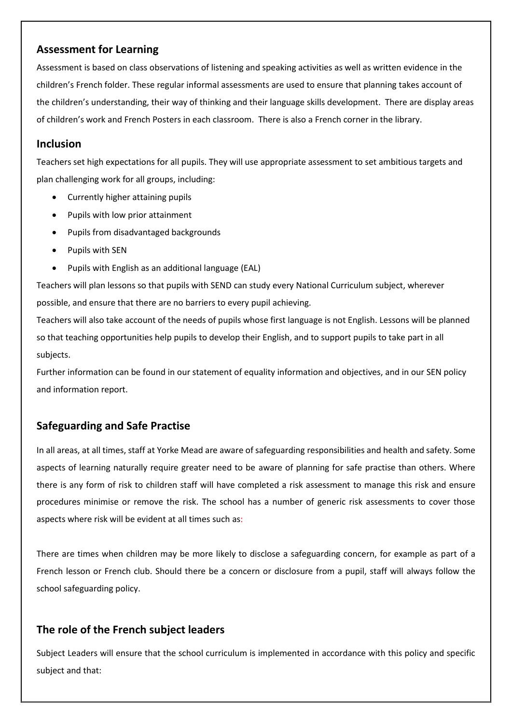## **Assessment for Learning**

Assessment is based on class observations of listening and speaking activities as well as written evidence in the children's French folder. These regular informal assessments are used to ensure that planning takes account of the children's understanding, their way of thinking and their language skills development. There are display areas of children's work and French Posters in each classroom. There is also a French corner in the library.

### **Inclusion**

Teachers set high expectations for all pupils. They will use appropriate assessment to set ambitious targets and plan challenging work for all groups, including:

- Currently higher attaining pupils
- Pupils with low prior attainment
- Pupils from disadvantaged backgrounds
- Pupils with SEN
- Pupils with English as an additional language (EAL)

Teachers will plan lessons so that pupils with SEND can study every National Curriculum subject, wherever possible, and ensure that there are no barriers to every pupil achieving.

Teachers will also take account of the needs of pupils whose first language is not English. Lessons will be planned so that teaching opportunities help pupils to develop their English, and to support pupils to take part in all subjects.

Further information can be found in our statement of equality information and objectives, and in our SEN policy and information report.

## **Safeguarding and Safe Practise**

In all areas, at all times, staff at Yorke Mead are aware of safeguarding responsibilities and health and safety. Some aspects of learning naturally require greater need to be aware of planning for safe practise than others. Where there is any form of risk to children staff will have completed a risk assessment to manage this risk and ensure procedures minimise or remove the risk. The school has a number of generic risk assessments to cover those aspects where risk will be evident at all times such as:

There are times when children may be more likely to disclose a safeguarding concern, for example as part of a French lesson or French club. Should there be a concern or disclosure from a pupil, staff will always follow the school safeguarding policy.

## **The role of the French subject leaders**

Subject Leaders will ensure that the school curriculum is implemented in accordance with this policy and specific subject and that: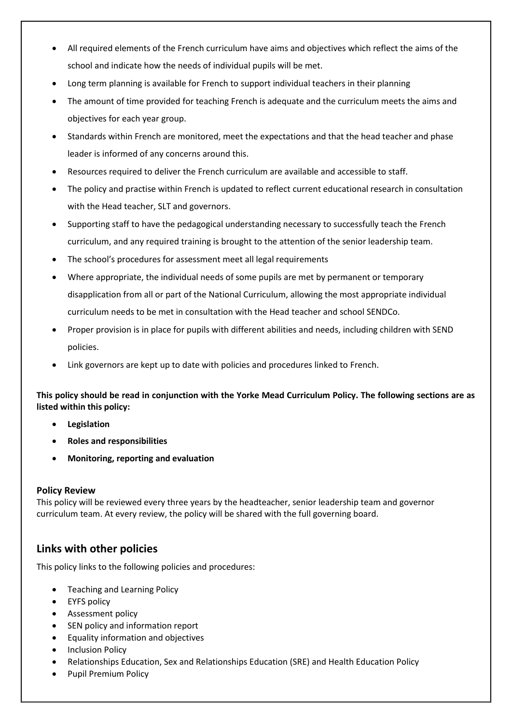- All required elements of the French curriculum have aims and objectives which reflect the aims of the school and indicate how the needs of individual pupils will be met.
- Long term planning is available for French to support individual teachers in their planning
- The amount of time provided for teaching French is adequate and the curriculum meets the aims and objectives for each year group.
- Standards within French are monitored, meet the expectations and that the head teacher and phase leader is informed of any concerns around this.
- Resources required to deliver the French curriculum are available and accessible to staff.
- The policy and practise within French is updated to reflect current educational research in consultation with the Head teacher, SLT and governors.
- Supporting staff to have the pedagogical understanding necessary to successfully teach the French curriculum, and any required training is brought to the attention of the senior leadership team.
- The school's procedures for assessment meet all legal requirements
- Where appropriate, the individual needs of some pupils are met by permanent or temporary disapplication from all or part of the National Curriculum, allowing the most appropriate individual curriculum needs to be met in consultation with the Head teacher and school SENDCo.
- Proper provision is in place for pupils with different abilities and needs, including children with SEND policies.
- Link governors are kept up to date with policies and procedures linked to French.

**This policy should be read in conjunction with the Yorke Mead Curriculum Policy. The following sections are as listed within this policy:** 

- **Legislation**
- **Roles and responsibilities**
- **Monitoring, reporting and evaluation**

#### **Policy Review**

This policy will be reviewed every three years by the headteacher, senior leadership team and governor curriculum team. At every review, the policy will be shared with the full governing board.

## **Links with other policies**

This policy links to the following policies and procedures:

- Teaching and Learning Policy
- EYFS policy
- **•** Assessment policy
- SEN policy and information report
- Equality information and objectives
- Inclusion Policy
- Relationships Education, Sex and Relationships Education (SRE) and Health Education Policy
- Pupil Premium Policy